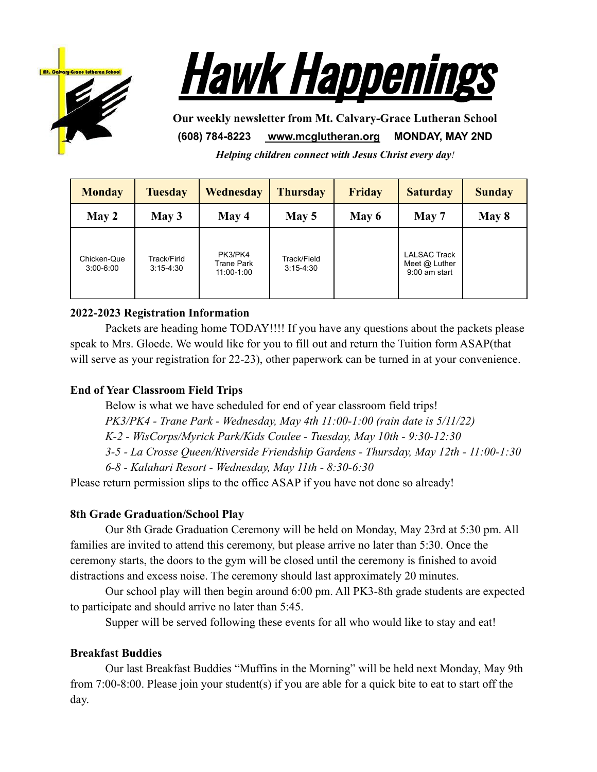



**Our weekly newsletter from Mt. Calvary-Grace Lutheran School (608) 784-8223 [www.mcglutheran.org](http://www.mcglutheran.org/) MONDAY, MAY 2ND**

*Helping children connect with Jesus Christ every day!*

| <b>Monday</b>                | <b>Tuesday</b>               | Wednesday                                  | <b>Thursday</b>              | <b>Friday</b> | <b>Saturday</b>                                           | <b>Sunday</b> |
|------------------------------|------------------------------|--------------------------------------------|------------------------------|---------------|-----------------------------------------------------------|---------------|
| May 2                        | May 3                        | May 4                                      | May 5                        | May 6         | May 7                                                     | May 8         |
| Chicken-Que<br>$3:00 - 6:00$ | Track/Firld<br>$3:15 - 4:30$ | PK3/PK4<br><b>Trane Park</b><br>11:00-1:00 | Track/Field<br>$3:15 - 4:30$ |               | <b>LALSAC Track</b><br>Meet $@$ Luther<br>$9:00$ am start |               |

## **2022-2023 Registration Information**

Packets are heading home TODAY!!!! If you have any questions about the packets please speak to Mrs. Gloede. We would like for you to fill out and return the Tuition form ASAP(that will serve as your registration for 22-23), other paperwork can be turned in at your convenience.

# **End of Year Classroom Field Trips**

Below is what we have scheduled for end of year classroom field trips!

*PK3/PK4 - Trane Park - Wednesday, May 4th 11:00-1:00 (rain date is 5/11/22)*

*K-2 - WisCorps/Myrick Park/Kids Coulee - Tuesday, May 10th - 9:30-12:30*

*3-5 - La Crosse Queen/Riverside Friendship Gardens - Thursday, May 12th - 11:00-1:30*

*6-8 - Kalahari Resort - Wednesday, May 11th - 8:30-6:30*

Please return permission slips to the office ASAP if you have not done so already!

# **8th Grade Graduation/School Play**

Our 8th Grade Graduation Ceremony will be held on Monday, May 23rd at 5:30 pm. All families are invited to attend this ceremony, but please arrive no later than 5:30. Once the ceremony starts, the doors to the gym will be closed until the ceremony is finished to avoid distractions and excess noise. The ceremony should last approximately 20 minutes.

Our school play will then begin around 6:00 pm. All PK3-8th grade students are expected to participate and should arrive no later than 5:45.

Supper will be served following these events for all who would like to stay and eat!

# **Breakfast Buddies**

Our last Breakfast Buddies "Muffins in the Morning" will be held next Monday, May 9th from 7:00-8:00. Please join your student(s) if you are able for a quick bite to eat to start off the day.